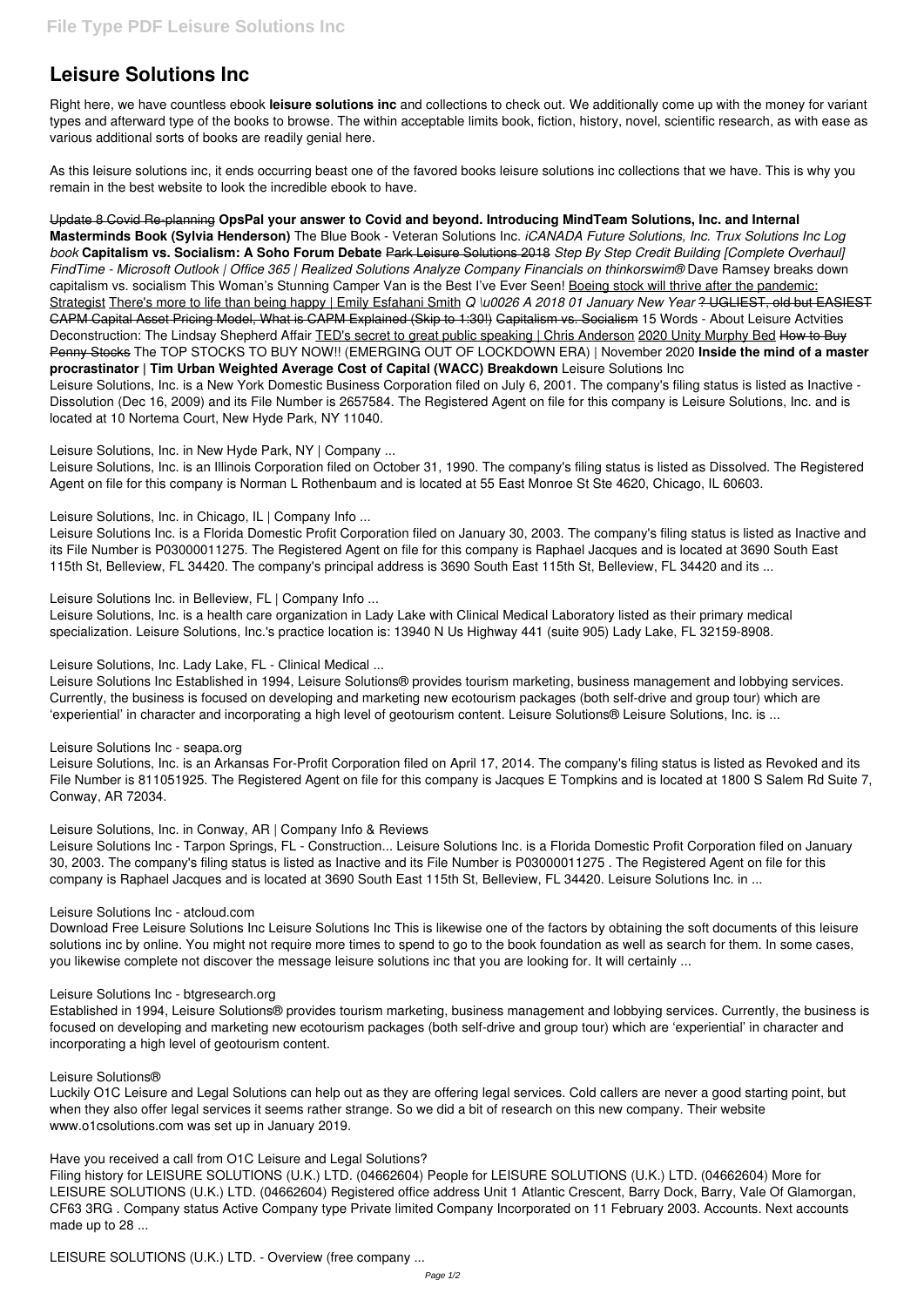# **Leisure Solutions Inc**

Right here, we have countless ebook **leisure solutions inc** and collections to check out. We additionally come up with the money for variant types and afterward type of the books to browse. The within acceptable limits book, fiction, history, novel, scientific research, as with ease as various additional sorts of books are readily genial here.

As this leisure solutions inc, it ends occurring beast one of the favored books leisure solutions inc collections that we have. This is why you remain in the best website to look the incredible ebook to have.

Update 8 Covid Re-planning **OpsPal your answer to Covid and beyond. Introducing MindTeam Solutions, Inc. and Internal Masterminds Book (Sylvia Henderson)** The Blue Book - Veteran Solutions Inc. *iCANADA Future Solutions, Inc. Trux Solutions Inc Log book* **Capitalism vs. Socialism: A Soho Forum Debate** Park Leisure Solutions 2018 *Step By Step Credit Building [Complete Overhaul] FindTime - Microsoft Outlook | Office 365 | Realized Solutions Analyze Company Financials on thinkorswim®* Dave Ramsey breaks down capitalism vs. socialism This Woman's Stunning Camper Van is the Best I've Ever Seen! Boeing stock will thrive after the pandemic: Strategist There's more to life than being happy | Emily Esfahani Smith *Q \u0026 A 2018 01 January New Year* ? UGLIEST, old but EASIEST CAPM Capital Asset Pricing Model, What is CAPM Explained (Skip to 1:30!) Capitalism vs. Socialism 15 Words - About Leisure Actvities Deconstruction: The Lindsay Shepherd Affair TED's secret to great public speaking | Chris Anderson 2020 Unity Murphy Bed How to Buy Penny Stocks The TOP STOCKS TO BUY NOW!! (EMERGING OUT OF LOCKDOWN ERA) | November 2020 **Inside the mind of a master procrastinator | Tim Urban Weighted Average Cost of Capital (WACC) Breakdown** Leisure Solutions Inc Leisure Solutions, Inc. is a New York Domestic Business Corporation filed on July 6, 2001. The company's filing status is listed as Inactive - Dissolution (Dec 16, 2009) and its File Number is 2657584. The Registered Agent on file for this company is Leisure Solutions, Inc. and is located at 10 Nortema Court, New Hyde Park, NY 11040.

Leisure Solutions, Inc. in New Hyde Park, NY | Company ...

Leisure Solutions, Inc. is an Illinois Corporation filed on October 31, 1990. The company's filing status is listed as Dissolved. The Registered Agent on file for this company is Norman L Rothenbaum and is located at 55 East Monroe St Ste 4620, Chicago, IL 60603.

Leisure Solutions, Inc. in Chicago, IL | Company Info...

Leisure Solutions Inc. is a Florida Domestic Profit Corporation filed on January 30, 2003. The company's filing status is listed as Inactive and its File Number is P03000011275. The Registered Agent on file for this company is Raphael Jacques and is located at 3690 South East 115th St, Belleview, FL 34420. The company's principal address is 3690 South East 115th St, Belleview, FL 34420 and its ...

Leisure Solutions Inc. in Belleview, FL | Company Info ...

Leisure Solutions, Inc. is a health care organization in Lady Lake with Clinical Medical Laboratory listed as their primary medical specialization. Leisure Solutions, Inc.'s practice location is: 13940 N Us Highway 441 (suite 905) Lady Lake, FL 32159-8908.

# Leisure Solutions, Inc. Lady Lake, FL - Clinical Medical ...

Leisure Solutions Inc Established in 1994, Leisure Solutions® provides tourism marketing, business management and lobbying services. Currently, the business is focused on developing and marketing new ecotourism packages (both self-drive and group tour) which are 'experiential' in character and incorporating a high level of geotourism content. Leisure Solutions® Leisure Solutions, Inc. is ...

### Leisure Solutions Inc - seapa.org

Leisure Solutions, Inc. is an Arkansas For-Profit Corporation filed on April 17, 2014. The company's filing status is listed as Revoked and its File Number is 811051925. The Registered Agent on file for this company is Jacques E Tompkins and is located at 1800 S Salem Rd Suite 7, Conway, AR 72034.

# Leisure Solutions, Inc. in Conway, AR | Company Info & Reviews

Leisure Solutions Inc - Tarpon Springs, FL - Construction... Leisure Solutions Inc. is a Florida Domestic Profit Corporation filed on January 30, 2003. The company's filing status is listed as Inactive and its File Number is P03000011275 . The Registered Agent on file for this company is Raphael Jacques and is located at 3690 South East 115th St, Belleview, FL 34420. Leisure Solutions Inc. in ...

### Leisure Solutions Inc - atcloud.com

Download Free Leisure Solutions Inc Leisure Solutions Inc This is likewise one of the factors by obtaining the soft documents of this leisure solutions inc by online. You might not require more times to spend to go to the book foundation as well as search for them. In some cases, you likewise complete not discover the message leisure solutions inc that you are looking for. It will certainly ...

Leisure Solutions Inc - btgresearch.org

Established in 1994, Leisure Solutions® provides tourism marketing, business management and lobbying services. Currently, the business is focused on developing and marketing new ecotourism packages (both self-drive and group tour) which are 'experiential' in character and incorporating a high level of geotourism content.

Leisure Solutions®

Luckily O1C Leisure and Legal Solutions can help out as they are offering legal services. Cold callers are never a good starting point, but when they also offer legal services it seems rather strange. So we did a bit of research on this new company. Their website www.o1csolutions.com was set up in January 2019.

Have you received a call from O1C Leisure and Legal Solutions?

Filing history for LEISURE SOLUTIONS (U.K.) LTD. (04662604) People for LEISURE SOLUTIONS (U.K.) LTD. (04662604) More for LEISURE SOLUTIONS (U.K.) LTD. (04662604) Registered office address Unit 1 Atlantic Crescent, Barry Dock, Barry, Vale Of Glamorgan, CF63 3RG . Company status Active Company type Private limited Company Incorporated on 11 February 2003. Accounts. Next accounts made up to 28 ...

LEISURE SOLUTIONS (U.K.) LTD. - Overview (free company ...